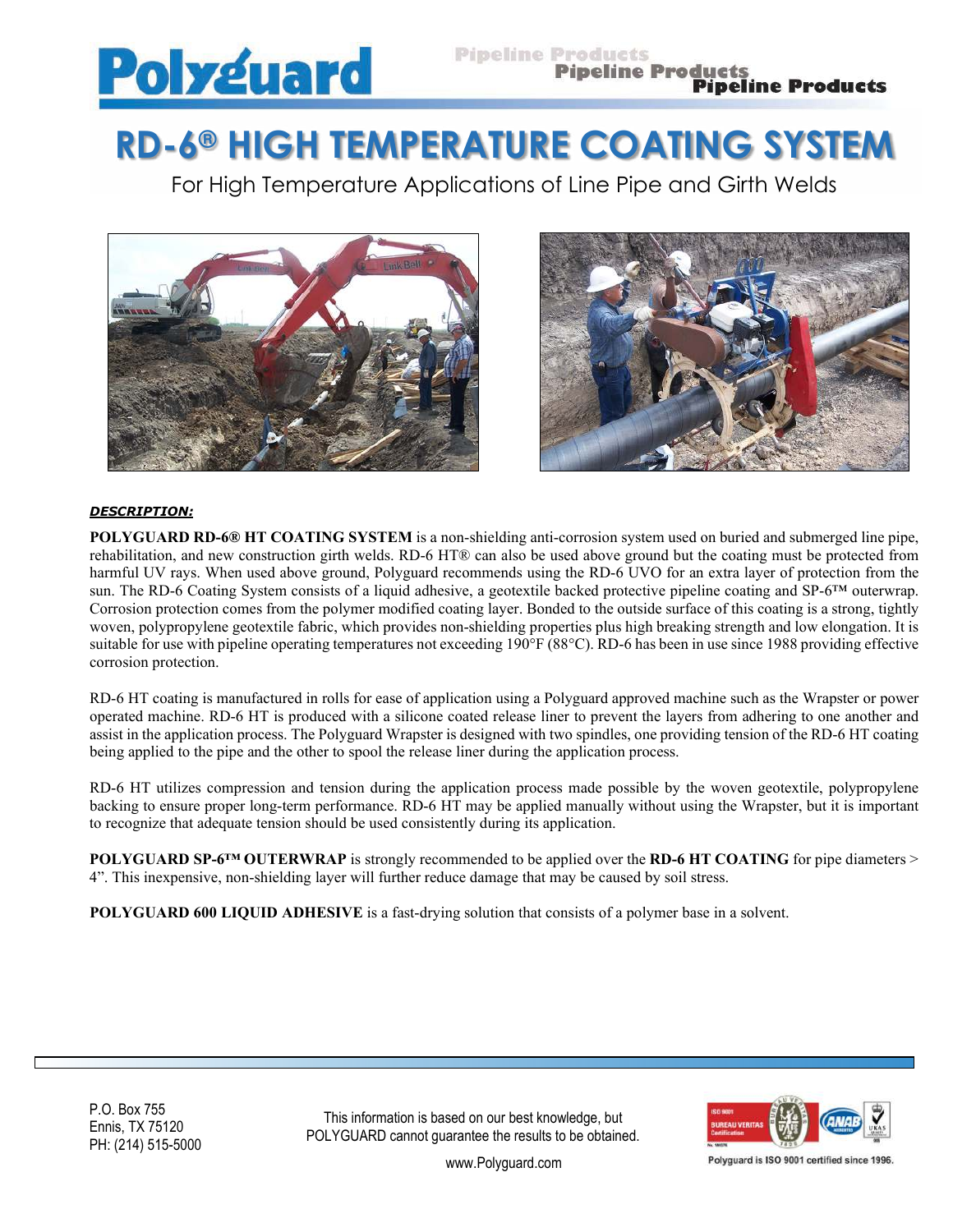

# **RD-6® HIGH TEMPERATURE COATING SYSTEM**

For High Temperature Applications of Line Pipe and Girth Welds





## *DESCRIPTION:*

**POLYGUARD RD-6® HT COATING SYSTEM** is a non-shielding anti-corrosion system used on buried and submerged line pipe, rehabilitation, and new construction girth welds. RD-6 HT® can also be used above ground but the coating must be protected from harmful UV rays. When used above ground, Polyguard recommends using the RD-6 UVO for an extra layer of protection from the sun. The RD-6 Coating System consists of a liquid adhesive, a geotextile backed protective pipeline coating and SP-6™ outerwrap. Corrosion protection comes from the polymer modified coating layer. Bonded to the outside surface of this coating is a strong, tightly woven, polypropylene geotextile fabric, which provides non-shielding properties plus high breaking strength and low elongation. It is suitable for use with pipeline operating temperatures not exceeding 190°F (88°C). RD-6 has been in use since 1988 providing effective corrosion protection.

RD-6 HT coating is manufactured in rolls for ease of application using a Polyguard approved machine such as the Wrapster or power operated machine. RD-6 HT is produced with a silicone coated release liner to prevent the layers from adhering to one another and assist in the application process. The Polyguard Wrapster is designed with two spindles, one providing tension of the RD-6 HT coating being applied to the pipe and the other to spool the release liner during the application process.

RD-6 HT utilizes compression and tension during the application process made possible by the woven geotextile, polypropylene backing to ensure proper long-term performance. RD-6 HT may be applied manually without using the Wrapster, but it is important to recognize that adequate tension should be used consistently during its application.

**POLYGUARD SP-6™ OUTERWRAP** is strongly recommended to be applied over the **RD-6 HT COATING** for pipe diameters > 4". This inexpensive, non-shielding layer will further reduce damage that may be caused by soil stress.

**POLYGUARD 600 LIQUID ADHESIVE** is a fast-drying solution that consists of a polymer base in a solvent.

P.O. Box 755 Ennis, TX 75120 PH: (214) 515-5000

This information is based on our best knowledge, but POLYGUARD cannot guarantee the results to be obtained.



Polyguard is ISO 9001 certified since 1996

www.Polyguard.com